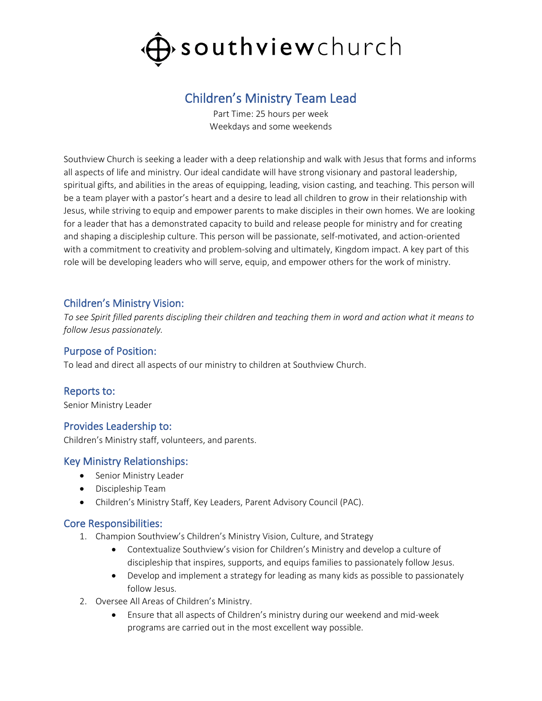

# Children's Ministry Team Lead

Part Time: 25 hours per week Weekdays and some weekends

Southview Church is seeking a leader with a deep relationship and walk with Jesus that forms and informs all aspects of life and ministry. Our ideal candidate will have strong visionary and pastoral leadership, spiritual gifts, and abilities in the areas of equipping, leading, vision casting, and teaching. This person will be a team player with a pastor's heart and a desire to lead all children to grow in their relationship with Jesus, while striving to equip and empower parents to make disciples in their own homes. We are looking for a leader that has a demonstrated capacity to build and release people for ministry and for creating and shaping a discipleship culture. This person will be passionate, self-motivated, and action-oriented with a commitment to creativity and problem-solving and ultimately, Kingdom impact. A key part of this role will be developing leaders who will serve, equip, and empower others for the work of ministry.

#### Children's Ministry Vision:

*To see Spirit filled parents discipling their children and teaching them in word and action what it means to follow Jesus passionately.*

#### Purpose of Position:

To lead and direct all aspects of our ministry to children at Southview Church.

#### Reports to:

Senior Ministry Leader

#### Provides Leadership to:

Children's Ministry staff, volunteers, and parents.

#### Key Ministry Relationships:

- Senior Ministry Leader
- Discipleship Team
- Children's Ministry Staff, Key Leaders, Parent Advisory Council (PAC).

#### Core Responsibilities:

- 1. Champion Southview's Children's Ministry Vision, Culture, and Strategy
	- Contextualize Southview's vision for Children's Ministry and develop a culture of discipleship that inspires, supports, and equips families to passionately follow Jesus.
	- Develop and implement a strategy for leading as many kids as possible to passionately follow Jesus.
- 2. Oversee All Areas of Children's Ministry.
	- Ensure that all aspects of Children's ministry during our weekend and mid-week programs are carried out in the most excellent way possible.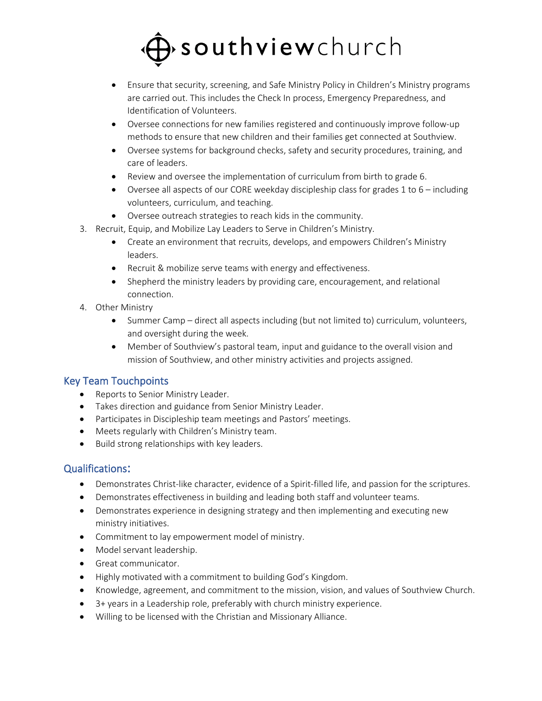# $\rightarrow$  southviewchurch

- Ensure that security, screening, and Safe Ministry Policy in Children's Ministry programs are carried out. This includes the Check In process, Emergency Preparedness, and Identification of Volunteers.
- Oversee connections for new families registered and continuously improve follow-up methods to ensure that new children and their families get connected at Southview.
- Oversee systems for background checks, safety and security procedures, training, and care of leaders.
- Review and oversee the implementation of curriculum from birth to grade 6.
- Oversee all aspects of our CORE weekday discipleship class for grades 1 to 6 including volunteers, curriculum, and teaching.
- Oversee outreach strategies to reach kids in the community.
- 3. Recruit, Equip, and Mobilize Lay Leaders to Serve in Children's Ministry.
	- Create an environment that recruits, develops, and empowers Children's Ministry leaders.
	- Recruit & mobilize serve teams with energy and effectiveness.
	- Shepherd the ministry leaders by providing care, encouragement, and relational connection.
- 4. Other Ministry
	- Summer Camp direct all aspects including (but not limited to) curriculum, volunteers, and oversight during the week.
	- Member of Southview's pastoral team, input and guidance to the overall vision and mission of Southview, and other ministry activities and projects assigned.

# Key Team Touchpoints

- Reports to Senior Ministry Leader.
- Takes direction and guidance from Senior Ministry Leader.
- Participates in Discipleship team meetings and Pastors' meetings.
- Meets regularly with Children's Ministry team.
- Build strong relationships with key leaders.

# Qualifications:

- Demonstrates Christ-like character, evidence of a Spirit-filled life, and passion for the scriptures.
- Demonstrates effectiveness in building and leading both staff and volunteer teams.
- Demonstrates experience in designing strategy and then implementing and executing new ministry initiatives.
- Commitment to lay empowerment model of ministry.
- Model servant leadership.
- Great communicator.
- Highly motivated with a commitment to building God's Kingdom.
- Knowledge, agreement, and commitment to the mission, vision, and values of Southview Church.
- 3+ years in a Leadership role, preferably with church ministry experience.
- Willing to be licensed with the Christian and Missionary Alliance.